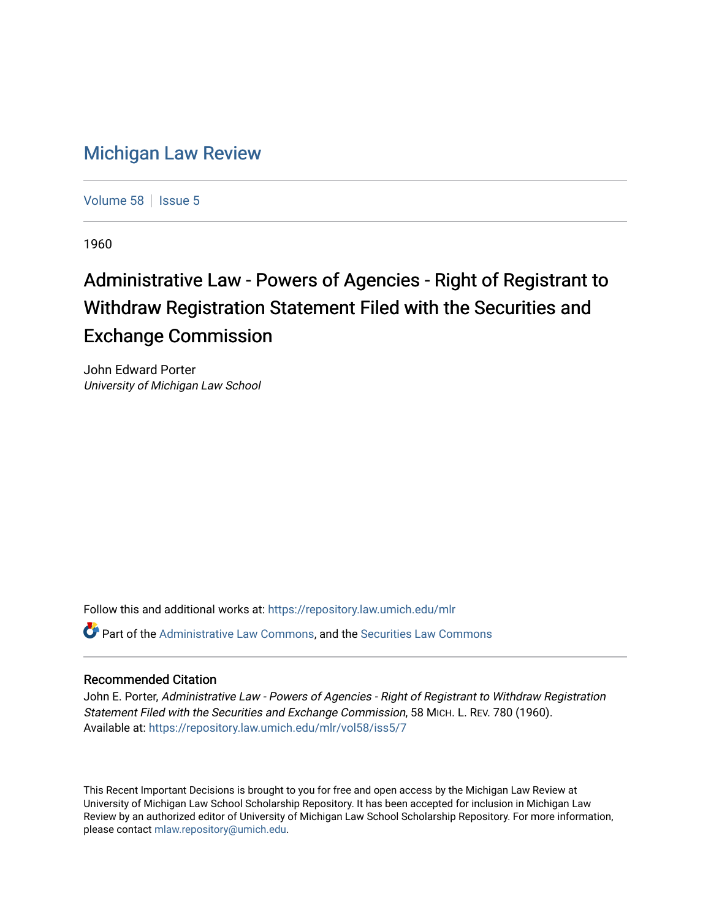## [Michigan Law Review](https://repository.law.umich.edu/mlr)

[Volume 58](https://repository.law.umich.edu/mlr/vol58) | [Issue 5](https://repository.law.umich.edu/mlr/vol58/iss5)

1960

## Administrative Law - Powers of Agencies - Right of Registrant to Withdraw Registration Statement Filed with the Securities and Exchange Commission

John Edward Porter University of Michigan Law School

Follow this and additional works at: [https://repository.law.umich.edu/mlr](https://repository.law.umich.edu/mlr?utm_source=repository.law.umich.edu%2Fmlr%2Fvol58%2Fiss5%2F7&utm_medium=PDF&utm_campaign=PDFCoverPages) 

Part of the [Administrative Law Commons,](http://network.bepress.com/hgg/discipline/579?utm_source=repository.law.umich.edu%2Fmlr%2Fvol58%2Fiss5%2F7&utm_medium=PDF&utm_campaign=PDFCoverPages) and the [Securities Law Commons](http://network.bepress.com/hgg/discipline/619?utm_source=repository.law.umich.edu%2Fmlr%2Fvol58%2Fiss5%2F7&utm_medium=PDF&utm_campaign=PDFCoverPages)

## Recommended Citation

John E. Porter, Administrative Law - Powers of Agencies - Right of Registrant to Withdraw Registration Statement Filed with the Securities and Exchange Commission, 58 MICH. L. REV. 780 (1960). Available at: [https://repository.law.umich.edu/mlr/vol58/iss5/7](https://repository.law.umich.edu/mlr/vol58/iss5/7?utm_source=repository.law.umich.edu%2Fmlr%2Fvol58%2Fiss5%2F7&utm_medium=PDF&utm_campaign=PDFCoverPages)

This Recent Important Decisions is brought to you for free and open access by the Michigan Law Review at University of Michigan Law School Scholarship Repository. It has been accepted for inclusion in Michigan Law Review by an authorized editor of University of Michigan Law School Scholarship Repository. For more information, please contact [mlaw.repository@umich.edu.](mailto:mlaw.repository@umich.edu)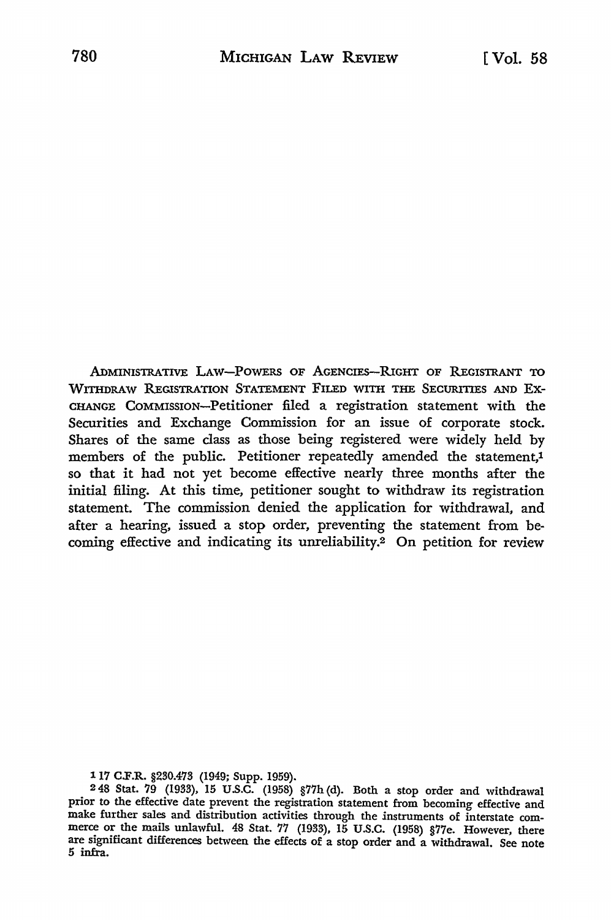ADMINISTRATIVE LAW-POWERS OF AGENCIES-RIGHT OF REGISTRANT TO WITHDRAW REGISTRATION STATEMENT FILED WITH THE SECURITIES AND Ex-CHANGE COMMISSION-Petitioner filed a registration statement with the Securities and Exchange Commission for an issue of corporate stock. Shares of the same class as those being registered were widely held by members of the public. Petitioner repeatedly amended the statement,1 so that it had not yet become effective nearly three months after the initial filing. At this time, petitioner sought to withdraw its registration statement. The commission denied the application for withdrawal, and after a hearing, issued a stop order, preventing the statement from becoming effective and indicating its unreliability.2 On petition for review

117 C.F.R. §230.473 (1949; Supp. 1959).

<sup>2 48</sup> Stat. 79 (1933), 15 U.S.C. (1958) §77h (d). Both a stop order and withdrawal prior to the effective date prevent the registration statement from becoming effective and make further sales and distribution activities through the instruments of interstate commerce or the mails unlawful. 48 Stat. 77 (1933), 15 U.S.C. (1958) §77e. However, there are significant differences between the effects of a stop order and a withdrawal. See note 5 infra.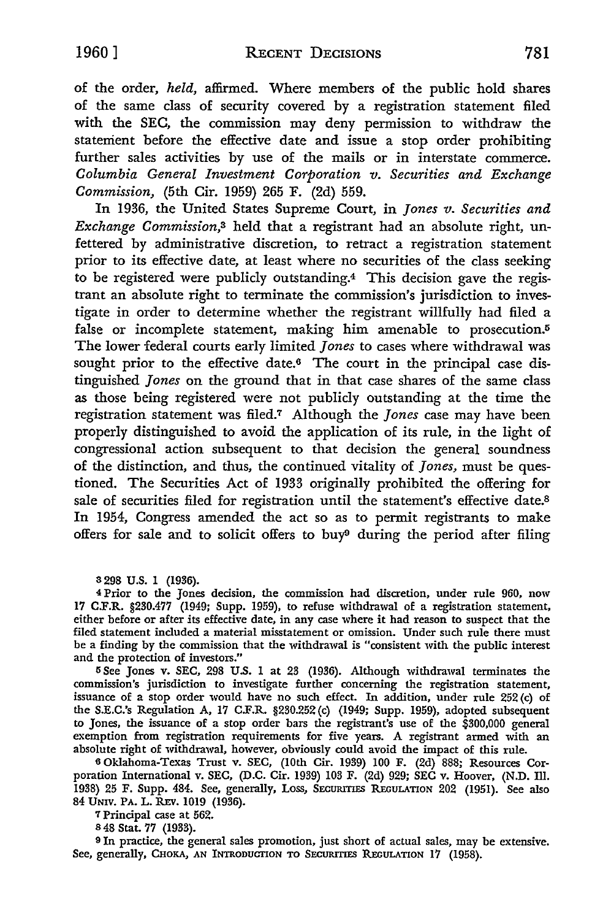of the order, *held,* affirmed. Where members of the public hold shares of the same class of security covered by a registration statement filed with the *SEC,* the commission may deny permission to withdraw the statement before the effective date and issue a stop order prohibiting further sales activities by use of the mails or in interstate commerce. *Columbia General Investment Corporation v. Securities and Exchange Commission,* (5th Cir. 1959) 265 F. (2d) 559.

In 1936, the United States Supreme *Court,* in *Jones v. Securities and Exchange Commission,*3 held that a registrant had an absolute right, unfettered by administrative discretion, to retract a registration statement prior to its effective date, at least where no securities of the class seeking to be registered were publicly outstanding.4 This decision gave the registrant an absolute right to terminate the commission's jurisdiction to investigate in order to determine whether the registrant willfully had filed a false or incomplete statement, making him amenable to prosecution.<sup>5</sup> The lower federal courts early limited *Jones* to cases where withdrawal was sought prior to the effective date.6 The court in the principal case distinguished *Jones* on the ground that in that case shares of the same class as those being registered were not publicly outstanding at the time the registration statement was filed.7 Although the *Jones* case may have been properly distinguished to avoid the application of its rule, in the light of congressional action subsequent to that decision the general soundness of the distinction, and thus, the continued vitality of *Jones,* must be questioned. The Securities Act of 1933 originally prohibited the offering for sale of securities filed for registration until the statement's effective date.<sup>8</sup> In 1954, Congress amended the act so as to permit registrants to make offers for sale and to solicit offers to buy9 during the period after filing

3 298 U.S. 1 (1936).

<sup>4</sup>Prior to the Jones decision, the commission had discretion, under rule 960, now 17 C.F.R. §230.477 (1949; Supp. 1959), to refuse withdrawal of a registration statement, either before or after its effective date, in any case where it had reason to suspect that the filed statement included a material misstatement or omission. Under such rule there must be a finding by the commission that the withdrawal is "consistent with the public interest and the protection of investors."

<sup>5</sup>See Jones v. SEC, 298 U.S. 1 at 23 (1936). Although withdrawal terminates the commission's jurisdiction to investigate further concerning the registration statement, issuance of a stop order would have no such effect. In addition, under rule 252 (c) of the S.E.C.'s Regulation A, 17 C.F.R. §230.252 (c) (1949; Supp. 1959), adopted subsequent to Jones, the issuance of a stop order bars the registrant's use of the \$300,000 general exemption from registration requirements for five years. A registrant armed with an absolute right of withdrawal, however, obviously could avoid the impact of this rule.

6 Oklahoma-Texas Trust v. SEC, (10th Cir. 1939) 100 F. (2d) 888; Resources Corporation International v. SEC, (D.C. Cir. 1939) 103 F. (2d) 929; SEC v. Hoover, (N.D. III. 1938) 25 F. Supp. 484. See, generally, Loss, SECURITIES REGULATION 202 (1951). See also 84 UNIV. PA. L. REV. 1019 (1936).

<sup>7</sup>Principal case at 562.

s 48 Stat. 77 (1933).

<sup>9</sup>In practice, the general sales promotion, just short of actual sales, may be extensive. See, generally, CHOKA, AN INTRODUCTION TO SECURITIES REGULATION 17 (1958).